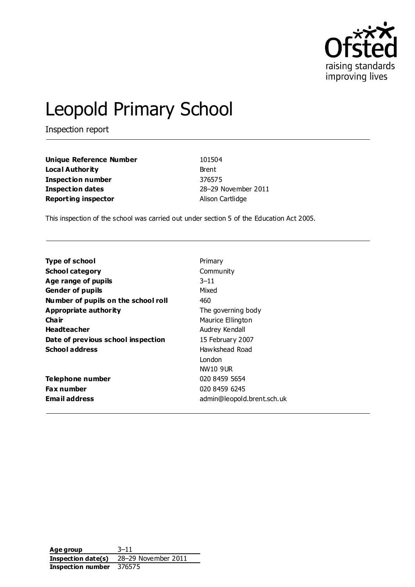

# Leopold Primary School

Inspection report

**Unique Reference Number** 101504 **Local Authority** Brent **Inspection number** 376575 **Inspection dates** 28–29 November 2011 **Reporting inspector Alison Cartlidge** 

This inspection of the school was carried out under section 5 of the Education Act 2005.

| <b>Type of school</b>               | Primary                    |
|-------------------------------------|----------------------------|
| <b>School category</b>              | Community                  |
| Age range of pupils                 | $3 - 11$                   |
| <b>Gender of pupils</b>             | Mixed                      |
| Number of pupils on the school roll | 460                        |
| Appropriate authority               | The governing body         |
| Cha ir                              | Maurice Ellington          |
| <b>Headteacher</b>                  | Audrey Kendall             |
| Date of previous school inspection  | 15 February 2007           |
| <b>School address</b>               | Hawkshead Road             |
|                                     | London                     |
|                                     | NW10 9UR                   |
| Telephone number                    | 020 8459 5654              |
| <b>Fax number</b>                   | 020 8459 6245              |
| <b>Email address</b>                | admin@leopold.brent.sch.uk |

**Age group** 3–11 **Inspection date(s)** 28–29 November 2011 **Inspection number** 376575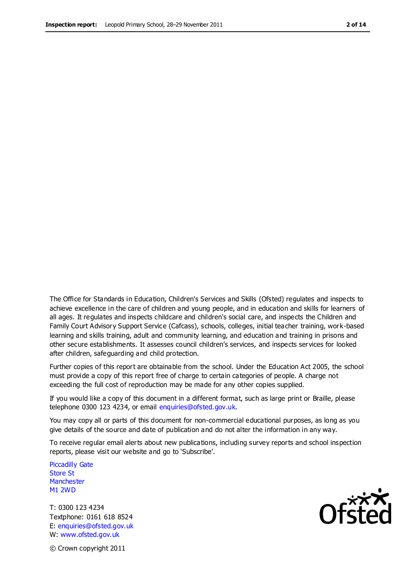The Office for Standards in Education, Children's Services and Skills (Ofsted) regulates and inspects to achieve excellence in the care of children and young people, and in education and skills for learners of all ages. It regulates and inspects childcare and children's social care, and inspects the Children and Family Court Advisory Support Service (Cafcass), schools, colleges, initial teacher training, work-based learning and skills training, adult and community learning, and education and training in prisons and other secure establishments. It assesses council children's services, and inspects services for looked after children, safeguarding and child protection.

Further copies of this report are obtainable from the school. Under the Education Act 2005, the school must provide a copy of this report free of charge to certain categories of people. A charge not exceeding the full cost of reproduction may be made for any other copies supplied.

If you would like a copy of this document in a different format, such as large print or Braille, please telephone 0300 123 4234, or email enquiries@ofsted.gov.uk.

You may copy all or parts of this document for non-commercial educational purposes, as long as you give details of the source and date of publication and do not alter the information in any way.

To receive regular email alerts about new publications, including survey reports and school inspection reports, please visit our website and go to 'Subscribe'.

Piccadilly Gate Store St **Manchester** M1 2WD

T: 0300 123 4234 Textphone: 0161 618 8524 E: enquiries@ofsted.gov.uk W: www.ofsted.gov.uk



© Crown copyright 2011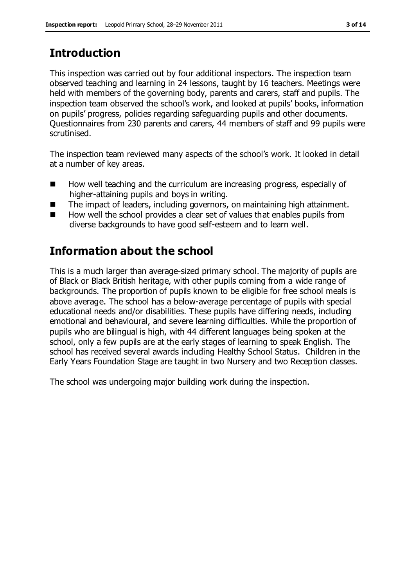# **Introduction**

This inspection was carried out by four additional inspectors. The inspection team observed teaching and learning in 24 lessons, taught by 16 teachers. Meetings were held with members of the governing body, parents and carers, staff and pupils. The inspection team observed the school's work, and looked at pupils' books, information on pupils' progress, policies regarding safeguarding pupils and other documents. Questionnaires from 230 parents and carers, 44 members of staff and 99 pupils were scrutinised.

The inspection team reviewed many aspects of the school's work. It looked in detail at a number of key areas.

- How well teaching and the curriculum are increasing progress, especially of higher-attaining pupils and boys in writing.
- The impact of leaders, including governors, on maintaining high attainment.
- How well the school provides a clear set of values that enables pupils from diverse backgrounds to have good self-esteem and to learn well.

# **Information about the school**

This is a much larger than average-sized primary school. The majority of pupils are of Black or Black British heritage, with other pupils coming from a wide range of backgrounds. The proportion of pupils known to be eligible for free school meals is above average. The school has a below-average percentage of pupils with special educational needs and/or disabilities. These pupils have differing needs, including emotional and behavioural, and severe learning difficulties. While the proportion of pupils who are bilingual is high, with 44 different languages being spoken at the school, only a few pupils are at the early stages of learning to speak English. The school has received several awards including Healthy School Status. Children in the Early Years Foundation Stage are taught in two Nursery and two Reception classes.

The school was undergoing major building work during the inspection.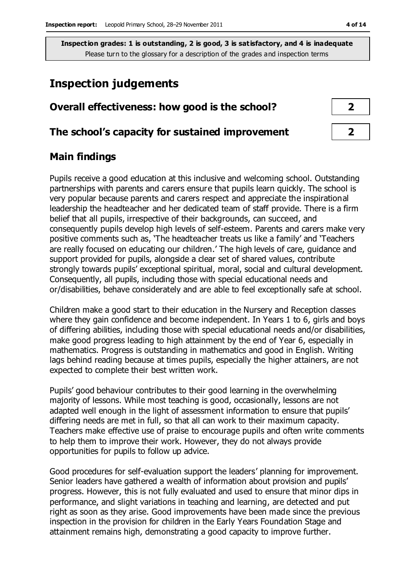## **Inspection judgements**

| Overall effectiveness: how good is the school?  |  |  |
|-------------------------------------------------|--|--|
| The school's capacity for sustained improvement |  |  |

## **Main findings**

Pupils receive a good education at this inclusive and welcoming school. Outstanding partnerships with parents and carers ensure that pupils learn quickly. The school is very popular because parents and carers respect and appreciate the inspirational leadership the headteacher and her dedicated team of staff provide. There is a firm belief that all pupils, irrespective of their backgrounds, can succeed, and consequently pupils develop high levels of self-esteem. Parents and carers make very positive comments such as, 'The headteacher treats us like a family' and 'Teachers are really focused on educating our children.' The high levels of care, guidance and support provided for pupils, alongside a clear set of shared values, contribute strongly towards pupils' exceptional spiritual, moral, social and cultural development. Consequently, all pupils, including those with special educational needs and or/disabilities, behave considerately and are able to feel exceptionally safe at school.

Children make a good start to their education in the Nursery and Reception classes where they gain confidence and become independent. In Years 1 to 6, girls and boys of differing abilities, including those with special educational needs and/or disabilities, make good progress leading to high attainment by the end of Year 6, especially in mathematics. Progress is outstanding in mathematics and good in English. Writing lags behind reading because at times pupils, especially the higher attainers, are not expected to complete their best written work.

Pupils' good behaviour contributes to their good learning in the overwhelming majority of lessons. While most teaching is good, occasionally, lessons are not adapted well enough in the light of assessment information to ensure that pupils' differing needs are met in full, so that all can work to their maximum capacity. Teachers make effective use of praise to encourage pupils and often write comments to help them to improve their work. However, they do not always provide opportunities for pupils to follow up advice.

Good procedures for self-evaluation support the leaders' planning for improvement. Senior leaders have gathered a wealth of information about provision and pupils' progress. However, this is not fully evaluated and used to ensure that minor dips in performance, and slight variations in teaching and learning, are detected and put right as soon as they arise. Good improvements have been made since the previous inspection in the provision for children in the Early Years Foundation Stage and attainment remains high, demonstrating a good capacity to improve further.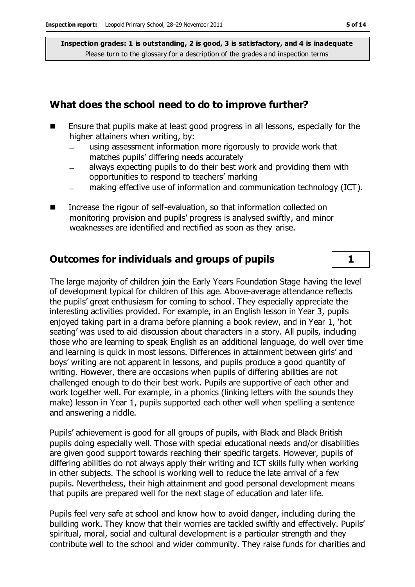#### **What does the school need to do to improve further?**

- Ensure that pupils make at least good progress in all lessons, especially for the higher attainers when writing, by:
	- using assessment information more rigorously to provide work that  $\equiv$ matches pupils' differing needs accurately
	- always expecting pupils to do their best work and providing them with opportunities to respond to teachers' marking
	- making effective use of information and communication technology (ICT).
- Increase the rigour of self-evaluation, so that information collected on monitoring provision and pupils' progress is analysed swiftly, and minor weaknesses are identified and rectified as soon as they arise.

#### **Outcomes for individuals and groups of pupils 1**

The large majority of children join the Early Years Foundation Stage having the level of development typical for children of this age. Above-average attendance reflects the pupils' great enthusiasm for coming to school. They especially appreciate the interesting activities provided. For example, in an English lesson in Year 3, pupils enjoyed taking part in a drama before planning a book review, and in Year 1, 'hot seating' was used to aid discussion about characters in a story. All pupils, including those who are learning to speak English as an additional language, do well over time and learning is quick in most lessons. Differences in attainment between girls' and boys' writing are not apparent in lessons, and pupils produce a good quantity of writing. However, there are occasions when pupils of differing abilities are not challenged enough to do their best work. Pupils are supportive of each other and work together well. For example, in a phonics (linking letters with the sounds they make) lesson in Year 1, pupils supported each other well when spelling a sentence and answering a riddle.

Pupils' achievement is good for all groups of pupils, with Black and Black British pupils doing especially well. Those with special educational needs and/or disabilities are given good support towards reaching their specific targets. However, pupils of differing abilities do not always apply their writing and ICT skills fully when working in other subjects. The school is working well to reduce the late arrival of a few pupils. Nevertheless, their high attainment and good personal development means that pupils are prepared well for the next stage of education and later life.

Pupils feel very safe at school and know how to avoid danger, including during the building work. They know that their worries are tackled swiftly and effectively. Pupils' spiritual, moral, social and cultural development is a particular strength and they contribute well to the school and wider community. They raise funds for charities and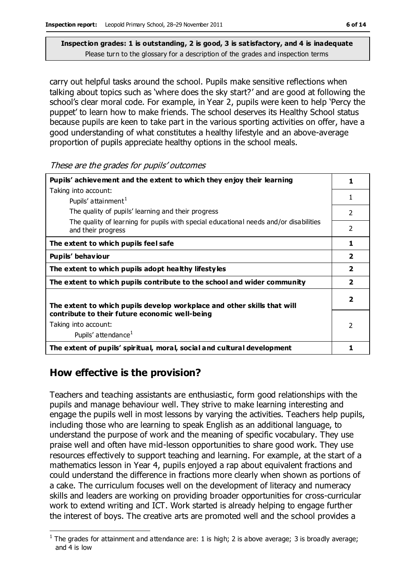carry out helpful tasks around the school. Pupils make sensitive reflections when talking about topics such as 'where does the sky start?' and are good at following the school's clear moral code. For example, in Year 2, pupils were keen to help 'Percy the puppet' to learn how to make friends. The school deserves its Healthy School status because pupils are keen to take part in the various sporting activities on offer, have a good understanding of what constitutes a healthy lifestyle and an above-average proportion of pupils appreciate healthy options in the school meals.

These are the grades for pupils' outcomes

| Pupils' achievement and the extent to which they enjoy their learning                                       | 1                        |
|-------------------------------------------------------------------------------------------------------------|--------------------------|
| Taking into account:                                                                                        |                          |
| Pupils' attainment <sup>1</sup>                                                                             | 1                        |
| The quality of pupils' learning and their progress                                                          | 2                        |
| The quality of learning for pupils with special educational needs and/or disabilities<br>and their progress | $\mathcal{P}$            |
| The extent to which pupils feel safe                                                                        | 1                        |
| Pupils' behaviour                                                                                           | $\overline{\mathbf{2}}$  |
| The extent to which pupils adopt healthy lifestyles                                                         | $\overline{\mathbf{2}}$  |
| The extent to which pupils contribute to the school and wider community                                     | $\overline{\mathbf{2}}$  |
| The extent to which pupils develop workplace and other skills that will                                     | $\overline{\phantom{a}}$ |
| contribute to their future economic well-being                                                              |                          |
| Taking into account:                                                                                        | 2                        |
| Pupils' attendance <sup>1</sup>                                                                             |                          |
| The extent of pupils' spiritual, moral, social and cultural development                                     | 1                        |

## **How effective is the provision?**

Teachers and teaching assistants are enthusiastic, form good relationships with the pupils and manage behaviour well. They strive to make learning interesting and engage the pupils well in most lessons by varying the activities. Teachers help pupils, including those who are learning to speak English as an additional language, to understand the purpose of work and the meaning of specific vocabulary. They use praise well and often have mid-lesson opportunities to share good work. They use resources effectively to support teaching and learning. For example, at the start of a mathematics lesson in Year 4, pupils enjoyed a rap about equivalent fractions and could understand the difference in fractions more clearly when shown as portions of a cake. The curriculum focuses well on the development of literacy and numeracy skills and leaders are working on providing broader opportunities for cross-curricular work to extend writing and ICT. Work started is already helping to engage further the interest of boys. The creative arts are promoted well and the school provides a

 $\overline{a}$ <sup>1</sup> The grades for attainment and attendance are: 1 is high; 2 is above average; 3 is broadly average; and 4 is low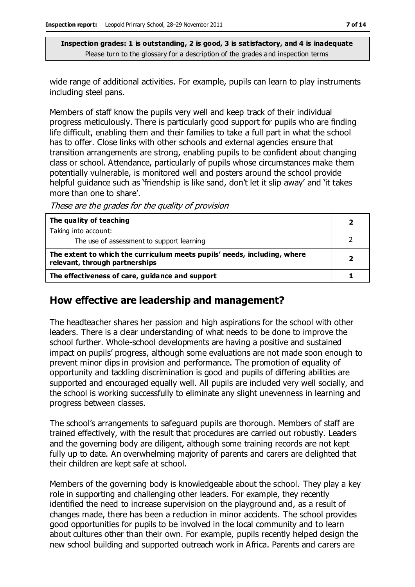wide range of additional activities. For example, pupils can learn to play instruments including steel pans.

Members of staff know the pupils very well and keep track of their individual progress meticulously. There is particularly good support for pupils who are finding life difficult, enabling them and their families to take a full part in what the school has to offer. Close links with other schools and external agencies ensure that transition arrangements are strong, enabling pupils to be confident about changing class or school. Attendance, particularly of pupils whose circumstances make them potentially vulnerable, is monitored well and posters around the school provide helpful guidance such as 'friendship is like sand, don't let it slip away' and 'it takes more than one to share'.

These are the grades for the quality of provision

| The quality of teaching                                                                                    |  |
|------------------------------------------------------------------------------------------------------------|--|
| Taking into account:                                                                                       |  |
| The use of assessment to support learning                                                                  |  |
| The extent to which the curriculum meets pupils' needs, including, where<br>relevant, through partnerships |  |
| The effectiveness of care, guidance and support                                                            |  |

#### **How effective are leadership and management?**

The headteacher shares her passion and high aspirations for the school with other leaders. There is a clear understanding of what needs to be done to improve the school further. Whole-school developments are having a positive and sustained impact on pupils' progress, although some evaluations are not made soon enough to prevent minor dips in provision and performance. The promotion of equality of opportunity and tackling discrimination is good and pupils of differing abilities are supported and encouraged equally well. All pupils are included very well socially, and the school is working successfully to eliminate any slight unevenness in learning and progress between classes.

The school's arrangements to safeguard pupils are thorough. Members of staff are trained effectively, with the result that procedures are carried out robustly. Leaders and the governing body are diligent, although some training records are not kept fully up to date. An overwhelming majority of parents and carers are delighted that their children are kept safe at school.

Members of the governing body is knowledgeable about the school. They play a key role in supporting and challenging other leaders. For example, they recently identified the need to increase supervision on the playground and, as a result of changes made, there has been a reduction in minor accidents. The school provides good opportunities for pupils to be involved in the local community and to learn about cultures other than their own. For example, pupils recently helped design the new school building and supported outreach work in Africa. Parents and carers are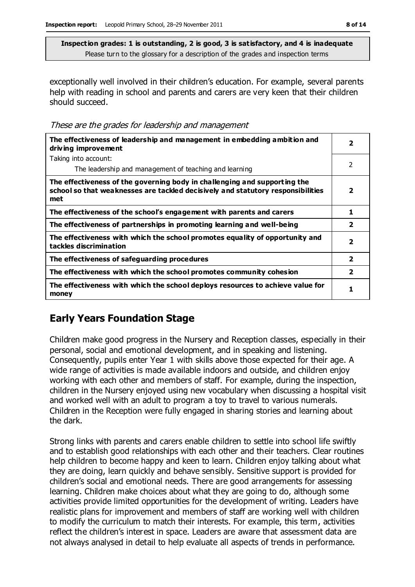exceptionally well involved in their children's education. For example, several parents help with reading in school and parents and carers are very keen that their children should succeed.

These are the grades for leadership and management

| The effectiveness of leadership and management in embedding ambition and<br>driving improvement                                                                     |                         |
|---------------------------------------------------------------------------------------------------------------------------------------------------------------------|-------------------------|
| Taking into account:                                                                                                                                                |                         |
| The leadership and management of teaching and learning                                                                                                              | 2                       |
| The effectiveness of the governing body in challenging and supporting the<br>school so that weaknesses are tackled decisively and statutory responsibilities<br>met | 2                       |
| The effectiveness of the school's engagement with parents and carers                                                                                                | 1                       |
| The effectiveness of partnerships in promoting learning and well-being                                                                                              | $\overline{\mathbf{2}}$ |
| The effectiveness with which the school promotes equality of opportunity and<br>tackles discrimination                                                              | $\overline{\mathbf{2}}$ |
| The effectiveness of safeguarding procedures                                                                                                                        | $\overline{\mathbf{2}}$ |
| The effectiveness with which the school promotes community cohesion                                                                                                 | $\overline{2}$          |
| The effectiveness with which the school deploys resources to achieve value for<br>money                                                                             | 1                       |

## **Early Years Foundation Stage**

Children make good progress in the Nursery and Reception classes, especially in their personal, social and emotional development, and in speaking and listening. Consequently, pupils enter Year 1 with skills above those expected for their age. A wide range of activities is made available indoors and outside, and children enjoy working with each other and members of staff. For example, during the inspection, children in the Nursery enjoyed using new vocabulary when discussing a hospital visit and worked well with an adult to program a toy to travel to various numerals. Children in the Reception were fully engaged in sharing stories and learning about the dark.

Strong links with parents and carers enable children to settle into school life swiftly and to establish good relationships with each other and their teachers. Clear routines help children to become happy and keen to learn. Children enjoy talking about what they are doing, learn quickly and behave sensibly. Sensitive support is provided for children's social and emotional needs. There are good arrangements for assessing learning. Children make choices about what they are going to do, although some activities provide limited opportunities for the development of writing. Leaders have realistic plans for improvement and members of staff are working well with children to modify the curriculum to match their interests. For example, this term, activities reflect the children's interest in space. Leaders are aware that assessment data are not always analysed in detail to help evaluate all aspects of trends in performance.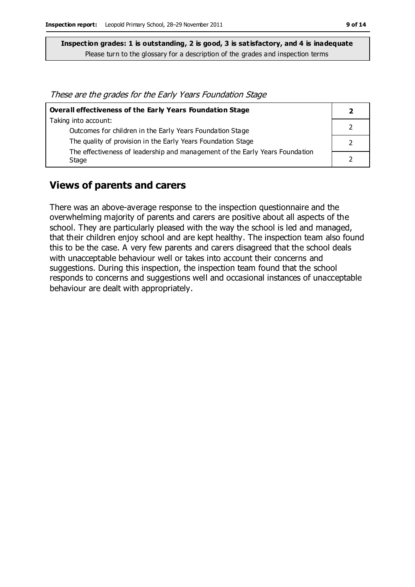These are the grades for the Early Years Foundation Stage

| Overall effectiveness of the Early Years Foundation Stage                    |  |
|------------------------------------------------------------------------------|--|
| Taking into account:                                                         |  |
| Outcomes for children in the Early Years Foundation Stage                    |  |
| The quality of provision in the Early Years Foundation Stage                 |  |
| The effectiveness of leadership and management of the Early Years Foundation |  |
| Stage                                                                        |  |

## **Views of parents and carers**

There was an above-average response to the inspection questionnaire and the overwhelming majority of parents and carers are positive about all aspects of the school. They are particularly pleased with the way the school is led and managed, that their children enjoy school and are kept healthy. The inspection team also found this to be the case. A very few parents and carers disagreed that the school deals with unacceptable behaviour well or takes into account their concerns and suggestions. During this inspection, the inspection team found that the school responds to concerns and suggestions well and occasional instances of unacceptable behaviour are dealt with appropriately.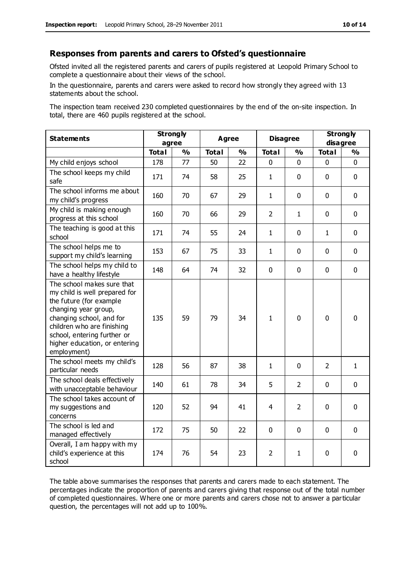#### **Responses from parents and carers to Ofsted's questionnaire**

Ofsted invited all the registered parents and carers of pupils registered at Leopold Primary School to complete a questionnaire about their views of the school.

In the questionnaire, parents and carers were asked to record how strongly they agreed with 13 statements about the school.

The inspection team received 230 completed questionnaires by the end of the on-site inspection. In total, there are 460 pupils registered at the school.

| <b>Statements</b>                                                                                                                                                                                                                                       | <b>Strongly</b><br>agree |               | Agree        |               |                | <b>Disagree</b> |                | <b>Strongly</b><br>disagree |  |
|---------------------------------------------------------------------------------------------------------------------------------------------------------------------------------------------------------------------------------------------------------|--------------------------|---------------|--------------|---------------|----------------|-----------------|----------------|-----------------------------|--|
|                                                                                                                                                                                                                                                         | <b>Total</b>             | $\frac{1}{2}$ | <b>Total</b> | $\frac{1}{2}$ | <b>Total</b>   | $\frac{1}{2}$   | <b>Total</b>   | $\frac{1}{2}$               |  |
| My child enjoys school                                                                                                                                                                                                                                  | 178                      | 77            | 50           | 22            | 0              | $\mathbf 0$     | $\mathbf 0$    | $\mathbf 0$                 |  |
| The school keeps my child<br>safe                                                                                                                                                                                                                       | 171                      | 74            | 58           | 25            | $\mathbf{1}$   | $\mathbf 0$     | $\mathbf 0$    | $\mathbf 0$                 |  |
| The school informs me about<br>my child's progress                                                                                                                                                                                                      | 160                      | 70            | 67           | 29            | $\mathbf{1}$   | $\mathbf 0$     | $\mathbf 0$    | $\mathbf 0$                 |  |
| My child is making enough<br>progress at this school                                                                                                                                                                                                    | 160                      | 70            | 66           | 29            | $\overline{2}$ | 1               | $\mathbf 0$    | $\mathbf 0$                 |  |
| The teaching is good at this<br>school                                                                                                                                                                                                                  | 171                      | 74            | 55           | 24            | $\mathbf{1}$   | $\mathbf 0$     | $\mathbf{1}$   | $\mathbf 0$                 |  |
| The school helps me to<br>support my child's learning                                                                                                                                                                                                   | 153                      | 67            | 75           | 33            | $\mathbf{1}$   | $\Omega$        | $\Omega$       | $\mathbf 0$                 |  |
| The school helps my child to<br>have a healthy lifestyle                                                                                                                                                                                                | 148                      | 64            | 74           | 32            | $\pmb{0}$      | $\mathbf 0$     | $\mathbf 0$    | $\mathbf 0$                 |  |
| The school makes sure that<br>my child is well prepared for<br>the future (for example<br>changing year group,<br>changing school, and for<br>children who are finishing<br>school, entering further or<br>higher education, or entering<br>employment) | 135                      | 59            | 79           | 34            | $\mathbf{1}$   | $\mathbf 0$     | $\mathbf{0}$   | 0                           |  |
| The school meets my child's<br>particular needs                                                                                                                                                                                                         | 128                      | 56            | 87           | 38            | $\mathbf{1}$   | $\mathbf 0$     | $\overline{2}$ | $\mathbf{1}$                |  |
| The school deals effectively<br>with unacceptable behaviour                                                                                                                                                                                             | 140                      | 61            | 78           | 34            | 5              | 2               | $\mathbf 0$    | $\mathbf 0$                 |  |
| The school takes account of<br>my suggestions and<br>concerns                                                                                                                                                                                           | 120                      | 52            | 94           | 41            | 4              | $\overline{2}$  | $\mathbf 0$    | $\mathbf 0$                 |  |
| The school is led and<br>managed effectively                                                                                                                                                                                                            | 172                      | 75            | 50           | 22            | $\pmb{0}$      | $\mathbf 0$     | $\mathbf 0$    | $\mathbf 0$                 |  |
| Overall, I am happy with my<br>child's experience at this<br>school                                                                                                                                                                                     | 174                      | 76            | 54           | 23            | $\overline{2}$ | 1               | $\mathbf 0$    | 0                           |  |

The table above summarises the responses that parents and carers made to each statement. The percentages indicate the proportion of parents and carers giving that response out of the total number of completed questionnaires. Where one or more parents and carers chose not to answer a particular question, the percentages will not add up to 100%.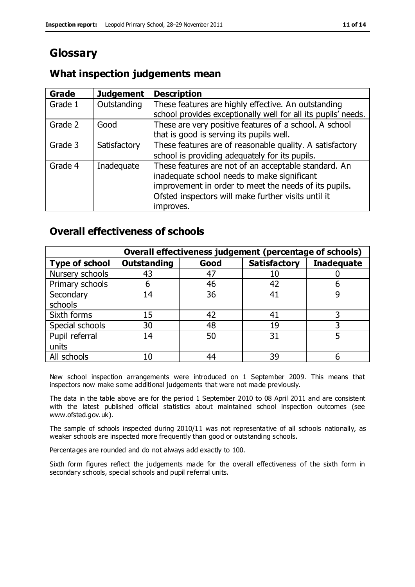# **Glossary**

## **What inspection judgements mean**

| Grade   | <b>Judgement</b> | <b>Description</b>                                            |
|---------|------------------|---------------------------------------------------------------|
| Grade 1 | Outstanding      | These features are highly effective. An outstanding           |
|         |                  | school provides exceptionally well for all its pupils' needs. |
| Grade 2 | Good             | These are very positive features of a school. A school        |
|         |                  | that is good is serving its pupils well.                      |
| Grade 3 | Satisfactory     | These features are of reasonable quality. A satisfactory      |
|         |                  | school is providing adequately for its pupils.                |
| Grade 4 | Inadequate       | These features are not of an acceptable standard. An          |
|         |                  | inadequate school needs to make significant                   |
|         |                  | improvement in order to meet the needs of its pupils.         |
|         |                  | Ofsted inspectors will make further visits until it           |
|         |                  | improves.                                                     |

## **Overall effectiveness of schools**

|                       |                    |      | Overall effectiveness judgement (percentage of schools) |                   |
|-----------------------|--------------------|------|---------------------------------------------------------|-------------------|
| <b>Type of school</b> | <b>Outstanding</b> | Good | <b>Satisfactory</b>                                     | <b>Inadequate</b> |
| Nursery schools       | 43                 | 47   | 10                                                      |                   |
| Primary schools       | 6                  | 46   | 42                                                      |                   |
| Secondary             | 14                 | 36   | 41                                                      |                   |
| schools               |                    |      |                                                         |                   |
| Sixth forms           | 15                 | 42   | 41                                                      | 3                 |
| Special schools       | 30                 | 48   | 19                                                      |                   |
| Pupil referral        | 14                 | 50   | 31                                                      |                   |
| units                 |                    |      |                                                         |                   |
| All schools           | 10                 | 44   | 39                                                      |                   |

New school inspection arrangements were introduced on 1 September 2009. This means that inspectors now make some additional judgements that were not made previously.

The data in the table above are for the period 1 September 2010 to 08 April 2011 and are consistent with the latest published official statistics about maintained school inspection outcomes (see www.ofsted.gov.uk).

The sample of schools inspected during 2010/11 was not representative of all schools nationally, as weaker schools are inspected more frequently than good or outstanding schools.

Percentages are rounded and do not always add exactly to 100.

Sixth form figures reflect the judgements made for the overall effectiveness of the sixth form in secondary schools, special schools and pupil referral units.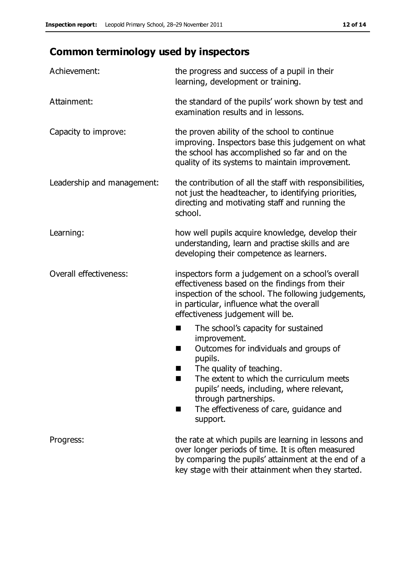# **Common terminology used by inspectors**

| Achievement:               | the progress and success of a pupil in their<br>learning, development or training.                                                                                                                                                                                                                                                |
|----------------------------|-----------------------------------------------------------------------------------------------------------------------------------------------------------------------------------------------------------------------------------------------------------------------------------------------------------------------------------|
| Attainment:                | the standard of the pupils' work shown by test and<br>examination results and in lessons.                                                                                                                                                                                                                                         |
| Capacity to improve:       | the proven ability of the school to continue<br>improving. Inspectors base this judgement on what<br>the school has accomplished so far and on the<br>quality of its systems to maintain improvement.                                                                                                                             |
| Leadership and management: | the contribution of all the staff with responsibilities,<br>not just the headteacher, to identifying priorities,<br>directing and motivating staff and running the<br>school.                                                                                                                                                     |
| Learning:                  | how well pupils acquire knowledge, develop their<br>understanding, learn and practise skills and are<br>developing their competence as learners.                                                                                                                                                                                  |
| Overall effectiveness:     | inspectors form a judgement on a school's overall<br>effectiveness based on the findings from their<br>inspection of the school. The following judgements,<br>in particular, influence what the overall<br>effectiveness judgement will be.                                                                                       |
|                            | The school's capacity for sustained<br>improvement.<br>Outcomes for individuals and groups of<br>H<br>pupils.<br>The quality of teaching.<br>ш<br>The extent to which the curriculum meets<br>٠<br>pupils' needs, including, where relevant,<br>through partnerships.<br>The effectiveness of care, guidance and<br>H<br>support. |
| Progress:                  | the rate at which pupils are learning in lessons and<br>over longer periods of time. It is often measured<br>by comparing the pupils' attainment at the end of a<br>key stage with their attainment when they started.                                                                                                            |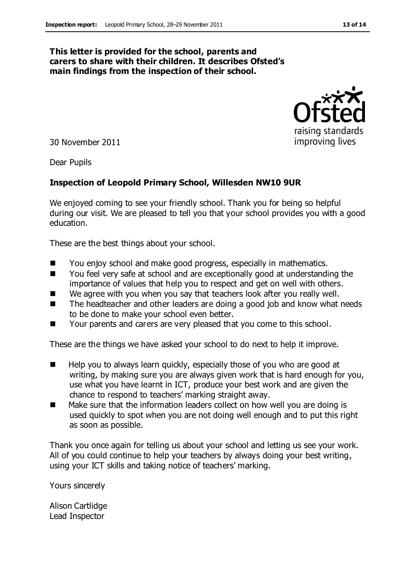#### **This letter is provided for the school, parents and carers to share with their children. It describes Ofsted's main findings from the inspection of their school.**

30 November 2011

Dear Pupils

#### **Inspection of Leopold Primary School, Willesden NW10 9UR**

We enjoyed coming to see your friendly school. Thank you for being so helpful during our visit. We are pleased to tell you that your school provides you with a good education.

These are the best things about your school.

- You enjoy school and make good progress, especially in mathematics.
- You feel very safe at school and are exceptionally good at understanding the importance of values that help you to respect and get on well with others.
- We agree with you when you say that teachers look after you really well.
- The headteacher and other leaders are doing a good job and know what needs to be done to make your school even better.
- Your parents and carers are very pleased that you come to this school.

These are the things we have asked your school to do next to help it improve.

- Help you to always learn quickly, especially those of you who are good at writing, by making sure you are always given work that is hard enough for you, use what you have learnt in ICT, produce your best work and are given the chance to respond to teachers' marking straight away.
- Make sure that the information leaders collect on how well you are doing is used quickly to spot when you are not doing well enough and to put this right as soon as possible.

Thank you once again for telling us about your school and letting us see your work. All of you could continue to help your teachers by always doing your best writing, using your ICT skills and taking notice of teachers' marking.

Yours sincerely

Alison Cartlidge Lead Inspector



raising standards improving lives